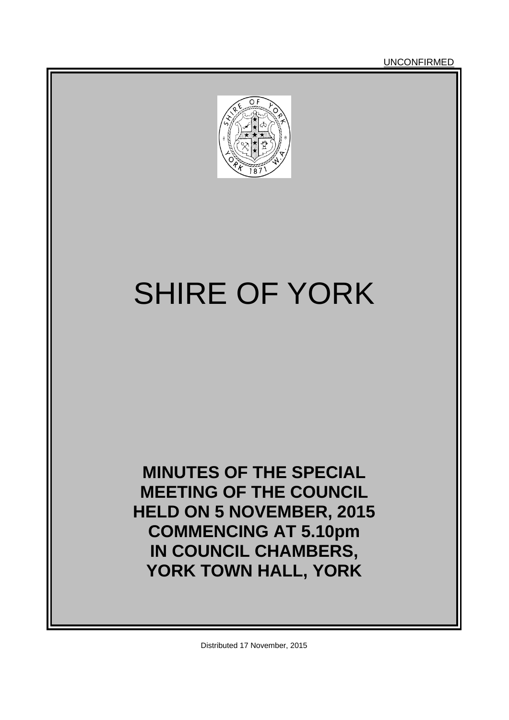**UNCONFIRMED** 



# SHIRE OF YORK

**MINUTES OF THE SPECIAL MEETING OF THE COUNCIL HELD ON 5 NOVEMBER, 2015 COMMENCING AT 5.10pm IN COUNCIL CHAMBERS, YORK TOWN HALL, YORK**

Distributed 17 November, 2015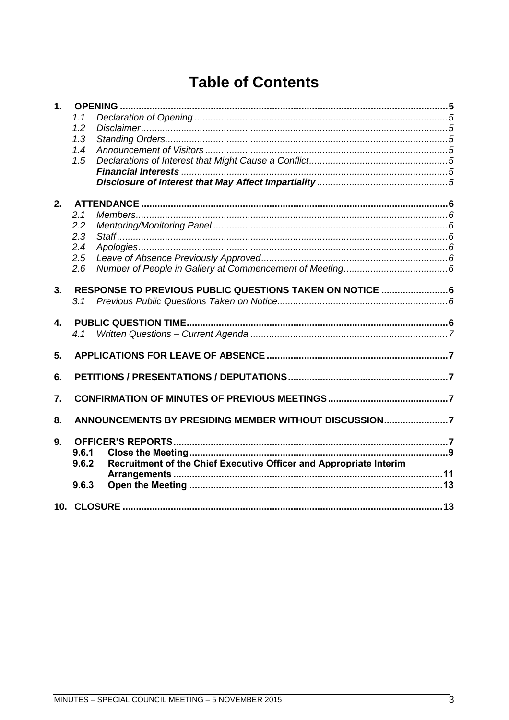## **Table of Contents**

| 1.               |       |                                                                    |  |  |
|------------------|-------|--------------------------------------------------------------------|--|--|
|                  | 1.1   |                                                                    |  |  |
|                  | 1.2   |                                                                    |  |  |
|                  | 1.3   |                                                                    |  |  |
|                  | 1.4   |                                                                    |  |  |
|                  | 1.5   |                                                                    |  |  |
|                  |       |                                                                    |  |  |
|                  |       |                                                                    |  |  |
| 2.               |       |                                                                    |  |  |
|                  | 2.1   |                                                                    |  |  |
|                  | 2.2   |                                                                    |  |  |
|                  | 2.3   |                                                                    |  |  |
|                  | 2.4   |                                                                    |  |  |
|                  | 2.5   |                                                                    |  |  |
|                  | 2.6   |                                                                    |  |  |
| 3.               |       | RESPONSE TO PREVIOUS PUBLIC QUESTIONS TAKEN ON NOTICE  6           |  |  |
|                  | 3.1   |                                                                    |  |  |
|                  |       |                                                                    |  |  |
| $\overline{4}$ . |       |                                                                    |  |  |
|                  |       |                                                                    |  |  |
| 5.               |       |                                                                    |  |  |
|                  |       |                                                                    |  |  |
| 6.               |       |                                                                    |  |  |
| 7.               |       |                                                                    |  |  |
|                  |       |                                                                    |  |  |
| 8.               |       | ANNOUNCEMENTS BY PRESIDING MEMBER WITHOUT DISCUSSION7              |  |  |
| 9.               |       |                                                                    |  |  |
|                  | 9.6.1 |                                                                    |  |  |
|                  | 9.6.2 | Recruitment of the Chief Executive Officer and Appropriate Interim |  |  |
|                  |       |                                                                    |  |  |
|                  | 9.6.3 |                                                                    |  |  |
|                  |       |                                                                    |  |  |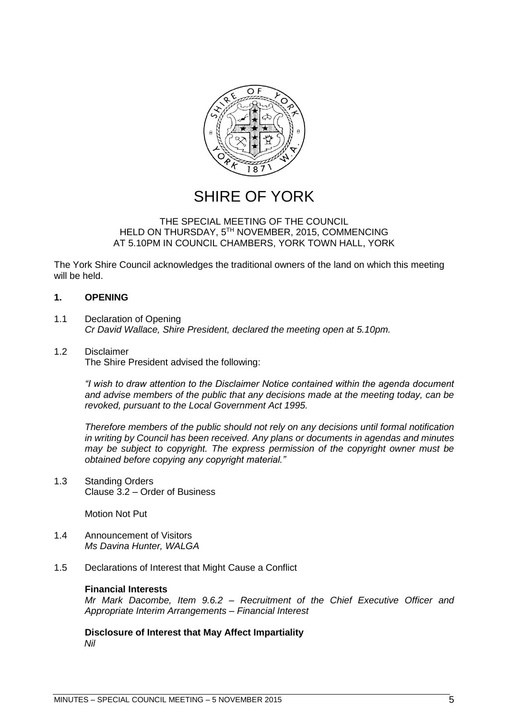

## SHIRE OF YORK

#### THE SPECIAL MEETING OF THE COUNCIL HELD ON THURSDAY, 5TH NOVEMBER, 2015, COMMENCING AT 5.10PM IN COUNCIL CHAMBERS, YORK TOWN HALL, YORK

The York Shire Council acknowledges the traditional owners of the land on which this meeting will be held.

#### <span id="page-4-0"></span>**1. OPENING**

- <span id="page-4-1"></span>1.1 Declaration of Opening *Cr David Wallace, Shire President, declared the meeting open at 5.10pm.*
- <span id="page-4-2"></span>1.2 Disclaimer The Shire President advised the following:

*"I wish to draw attention to the Disclaimer Notice contained within the agenda document and advise members of the public that any decisions made at the meeting today, can be revoked, pursuant to the Local Government Act 1995.* 

*Therefore members of the public should not rely on any decisions until formal notification in writing by Council has been received. Any plans or documents in agendas and minutes may be subject to copyright. The express permission of the copyright owner must be obtained before copying any copyright material."*

<span id="page-4-3"></span>1.3 Standing Orders Clause 3.2 – Order of Business

Motion Not Put

- <span id="page-4-4"></span>1.4 Announcement of Visitors *Ms Davina Hunter, WALGA*
- <span id="page-4-6"></span><span id="page-4-5"></span>1.5 Declarations of Interest that Might Cause a Conflict

#### **Financial Interests**

*Mr Mark Dacombe, Item 9.6.2 – Recruitment of the Chief Executive Officer and Appropriate Interim Arrangements – Financial Interest*

<span id="page-4-7"></span>**Disclosure of Interest that May Affect Impartiality** *Nil*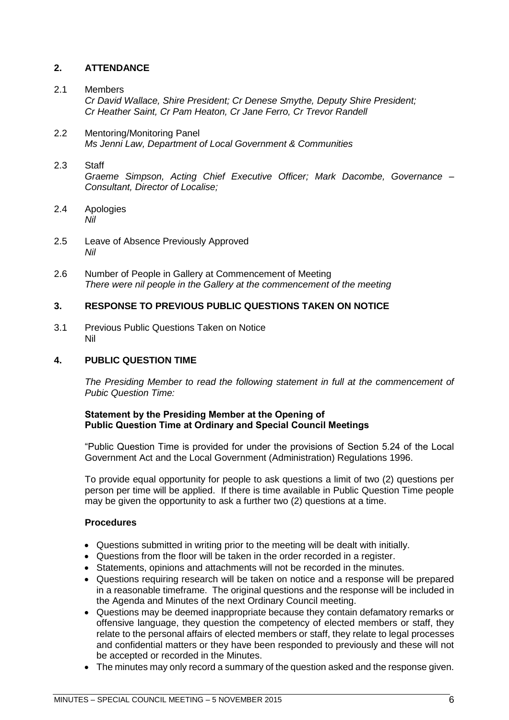#### <span id="page-5-0"></span>**2. ATTENDANCE**

#### <span id="page-5-1"></span>2.1 Members

*Cr David Wallace, Shire President; Cr Denese Smythe, Deputy Shire President; Cr Heather Saint, Cr Pam Heaton, Cr Jane Ferro, Cr Trevor Randell*

<span id="page-5-2"></span>2.2 Mentoring/Monitoring Panel *Ms Jenni Law, Department of Local Government & Communities*

#### <span id="page-5-3"></span>2.3 Staff

*Graeme Simpson, Acting Chief Executive Officer; Mark Dacombe, Governance – Consultant, Director of Localise;* 

- <span id="page-5-4"></span>2.4 Apologies *Nil*
- <span id="page-5-5"></span>2.5 Leave of Absence Previously Approved *Nil*
- <span id="page-5-6"></span>2.6 Number of People in Gallery at Commencement of Meeting *There were nil people in the Gallery at the commencement of the meeting*

#### <span id="page-5-7"></span>**3. RESPONSE TO PREVIOUS PUBLIC QUESTIONS TAKEN ON NOTICE**

<span id="page-5-8"></span>3.1 Previous Public Questions Taken on Notice Nil

#### <span id="page-5-9"></span>**4. PUBLIC QUESTION TIME**

*The Presiding Member to read the following statement in full at the commencement of Pubic Question Time:*

#### **Statement by the Presiding Member at the Opening of Public Question Time at Ordinary and Special Council Meetings**

"Public Question Time is provided for under the provisions of Section 5.24 of the Local Government Act and the Local Government (Administration) Regulations 1996.

To provide equal opportunity for people to ask questions a limit of two (2) questions per person per time will be applied. If there is time available in Public Question Time people may be given the opportunity to ask a further two (2) questions at a time.

#### **Procedures**

- Questions submitted in writing prior to the meeting will be dealt with initially.
- Questions from the floor will be taken in the order recorded in a register.
- Statements, opinions and attachments will not be recorded in the minutes.
- Questions requiring research will be taken on notice and a response will be prepared in a reasonable timeframe. The original questions and the response will be included in the Agenda and Minutes of the next Ordinary Council meeting.
- Questions may be deemed inappropriate because they contain defamatory remarks or offensive language, they question the competency of elected members or staff, they relate to the personal affairs of elected members or staff, they relate to legal processes and confidential matters or they have been responded to previously and these will not be accepted or recorded in the Minutes.
- The minutes may only record a summary of the question asked and the response given.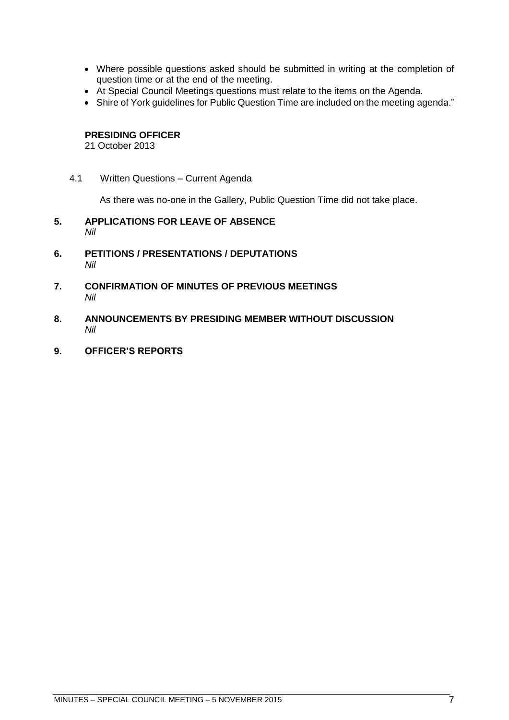- Where possible questions asked should be submitted in writing at the completion of question time or at the end of the meeting.
- At Special Council Meetings questions must relate to the items on the Agenda.
- Shire of York guidelines for Public Question Time are included on the meeting agenda."

#### **PRESIDING OFFICER**

21 October 2013

<span id="page-6-0"></span>4.1 Written Questions – Current Agenda

As there was no-one in the Gallery, Public Question Time did not take place.

- <span id="page-6-1"></span>**5. APPLICATIONS FOR LEAVE OF ABSENCE**  *Nil*
- <span id="page-6-2"></span>**6. PETITIONS / PRESENTATIONS / DEPUTATIONS** *Nil*
- <span id="page-6-3"></span>**7. CONFIRMATION OF MINUTES OF PREVIOUS MEETINGS**  *Nil*
- <span id="page-6-4"></span>**8. ANNOUNCEMENTS BY PRESIDING MEMBER WITHOUT DISCUSSION** *Nil*
- <span id="page-6-5"></span>**9. OFFICER'S REPORTS**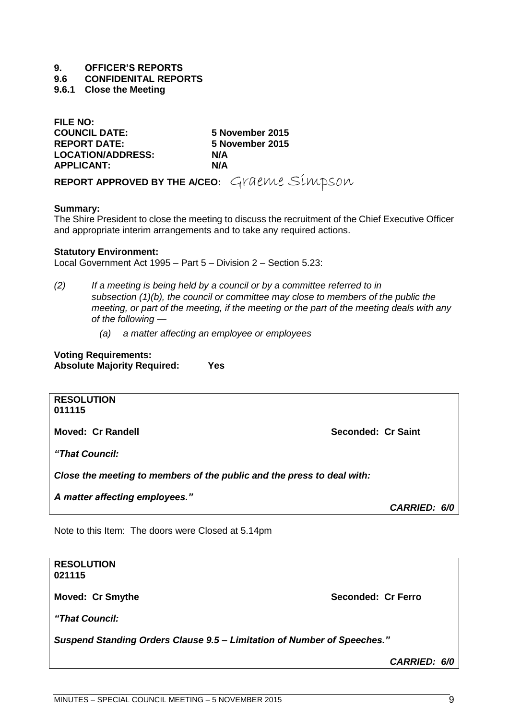#### **9. OFFICER'S REPORTS**

**9.6 CONFIDENITAL REPORTS**

<span id="page-8-0"></span>**9.6.1 Close the Meeting**

**FILE NO: COUNCIL DATE: 5 November 2015 REPORT DATE: 5 November 2015 LOCATION/ADDRESS: N/A APPLICANT: N/A**

REPORT APPROVED BY THE A/CEO: Graeme Simpson

#### **Summary:**

The Shire President to close the meeting to discuss the recruitment of the Chief Executive Officer and appropriate interim arrangements and to take any required actions.

#### **Statutory Environment:**

Local Government Act 1995 – Part 5 – Division 2 – Section 5.23:

- *(2) If a meeting is being held by a council or by a committee referred to in subsection (1)(b), the council or committee may close to members of the public the meeting, or part of the meeting, if the meeting or the part of the meeting deals with any of the following —*
	- *(a) a matter affecting an employee or employees*

| <b>Voting Requirements:</b>        |     |  |  |  |
|------------------------------------|-----|--|--|--|
| <b>Absolute Majority Required:</b> | Yes |  |  |  |

**RESOLUTION 011115**

**Moved: Cr Randell Seconded: Cr Saint**

*"That Council:*

*Close the meeting to members of the public and the press to deal with:*

*A matter affecting employees."*

*CARRIED: 6/0*

Note to this Item: The doors were Closed at 5.14pm

| <b>RESOLUTION</b><br>021115                                             |                    |  |  |
|-------------------------------------------------------------------------|--------------------|--|--|
| <b>Moved: Cr Smythe</b>                                                 | Seconded: Cr Ferro |  |  |
| "That Council:                                                          |                    |  |  |
| Suspend Standing Orders Clause 9.5 - Limitation of Number of Speeches." |                    |  |  |

*CARRIED: 6/0*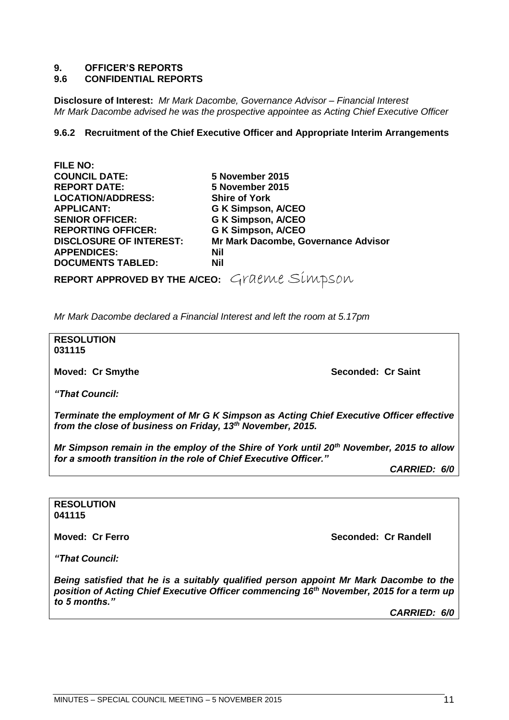#### **9. OFFICER'S REPORTS**

#### **9.6 CONFIDENTIAL REPORTS**

**Disclosure of Interest:** *Mr Mark Dacombe, Governance Advisor – Financial Interest Mr Mark Dacombe advised he was the prospective appointee as Acting Chief Executive Officer*

#### <span id="page-10-0"></span>**9.6.2 Recruitment of the Chief Executive Officer and Appropriate Interim Arrangements**

| FILE NU:                                     |                                     |
|----------------------------------------------|-------------------------------------|
| <b>COUNCIL DATE:</b>                         | 5 November 2015                     |
| <b>REPORT DATE:</b>                          | 5 November 2015                     |
| <b>LOCATION/ADDRESS:</b>                     | <b>Shire of York</b>                |
| <b>APPLICANT:</b>                            | <b>G K Simpson, A/CEO</b>           |
| <b>SENIOR OFFICER:</b>                       | <b>G K Simpson, A/CEO</b>           |
| <b>REPORTING OFFICER:</b>                    | <b>G K Simpson, A/CEO</b>           |
| <b>DISCLOSURE OF INTEREST:</b>               | Mr Mark Dacombe, Governance Advisor |
| <b>APPENDICES:</b>                           | <b>Nil</b>                          |
| <b>DOCUMENTS TABLED:</b>                     | <b>Nil</b>                          |
| REPORT APPROVED BY THE A/CEO: Graeme Simpson |                                     |

*Mr Mark Dacombe declared a Financial Interest and left the room at 5.17pm*

**RESOLUTION 031115**

**FILE NO:**

**Moved: Cr Smythe Seconded: Cr Saint** 

*"That Council:*

*Terminate the employment of Mr G K Simpson as Acting Chief Executive Officer effective from the close of business on Friday, 13th November, 2015.*

*Mr Simpson remain in the employ of the Shire of York until 20th November, 2015 to allow for a smooth transition in the role of Chief Executive Officer."*

*CARRIED: 6/0*

#### **RESOLUTION 041115**

**Moved: Cr Ferro Seconded: Cr Randell**

*"That Council:*

*Being satisfied that he is a suitably qualified person appoint Mr Mark Dacombe to the position of Acting Chief Executive Officer commencing 16th November, 2015 for a term up to 5 months."*

*CARRIED: 6/0*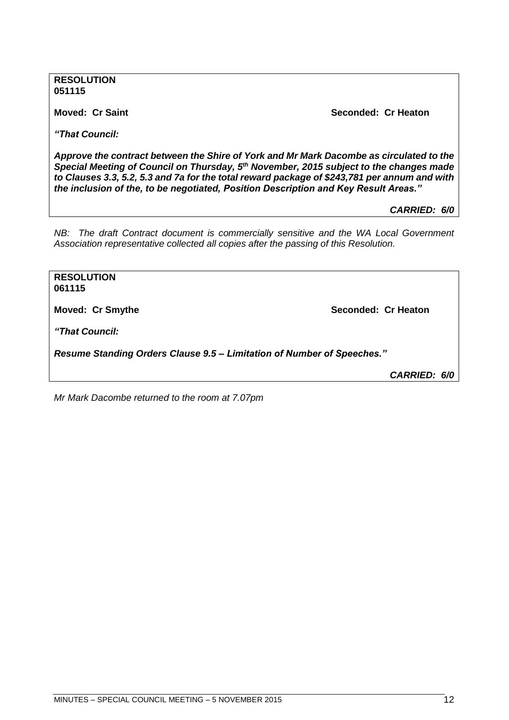**RESOLUTION 051115**

**Moved: Cr Saint Seconded: Cr Heaton**

*"That Council:*

*Approve the contract between the Shire of York and Mr Mark Dacombe as circulated to the Special Meeting of Council on Thursday, 5th November, 2015 subject to the changes made to Clauses 3.3, 5.2, 5.3 and 7a for the total reward package of \$243,781 per annum and with the inclusion of the, to be negotiated, Position Description and Key Result Areas."*

*CARRIED: 6/0*

*NB: The draft Contract document is commercially sensitive and the WA Local Government Association representative collected all copies after the passing of this Resolution.*

**RESOLUTION 061115 Moved: Cr Smythe Seconded: Cr Heaton** *"That Council: Resume Standing Orders Clause 9.5 – Limitation of Number of Speeches."*

*CARRIED: 6/0*

*Mr Mark Dacombe returned to the room at 7.07pm*